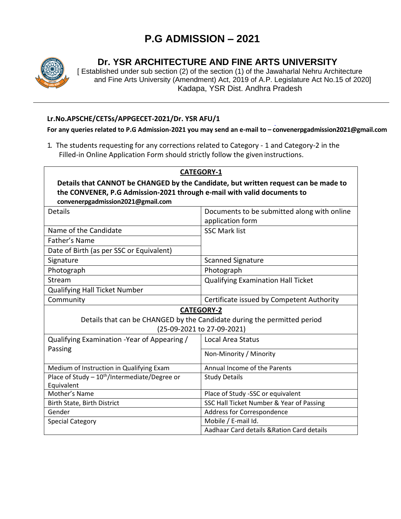## **P.G ADMISSION – 2021**



## **Dr. YSR ARCHITECTURE AND FINE ARTS UNIVERSITY**

[ Established under sub section (2) of the section (1) of the Jawaharlal Nehru Architecture and Fine Arts University (Amendment) Act, 2019 of A.P. Legislature Act No.15 of 2020] Kadapa, YSR Dist. Andhra Pradesh

## **Lr.No.APSCHE/CETSs/APPGECET-2021/Dr. YSR AFU/1**

**For any queries related to P.G Admission-2021 you may send an e-mail to – convenerpgadmission2021@gmail.com**

1. The students requesting for any corrections related to Category - 1 and Category-2 in the Filled-in Online Application Form should strictly follow the given instructions.

| <b>CATEGORY-1</b>                                                                   |                                             |
|-------------------------------------------------------------------------------------|---------------------------------------------|
| Details that CANNOT be CHANGED by the Candidate, but written request can be made to |                                             |
| the CONVENER, P.G Admission-2021 through e-mail with valid documents to             |                                             |
| convenerpgadmission2021@gmail.com                                                   |                                             |
| Details                                                                             | Documents to be submitted along with online |
|                                                                                     | application form                            |
| Name of the Candidate                                                               | <b>SSC Mark list</b>                        |
| Father's Name                                                                       |                                             |
| Date of Birth (as per SSC or Equivalent)                                            |                                             |
| Signature                                                                           | <b>Scanned Signature</b>                    |
| Photograph                                                                          | Photograph                                  |
| Stream                                                                              | <b>Qualifying Examination Hall Ticket</b>   |
| <b>Qualifying Hall Ticket Number</b>                                                |                                             |
| Community                                                                           | Certificate issued by Competent Authority   |
| <b>CATEGORY-2</b>                                                                   |                                             |
| Details that can be CHANGED by the Candidate during the permitted period            |                                             |
| (25-09-2021 to 27-09-2021)                                                          |                                             |
| Qualifying Examination - Year of Appearing /                                        | <b>Local Area Status</b>                    |
| Passing                                                                             | Non-Minority / Minority                     |
|                                                                                     |                                             |
| Medium of Instruction in Qualifying Exam                                            | Annual Income of the Parents                |
| Place of Study - 10 <sup>th</sup> /Intermediate/Degree or                           | <b>Study Details</b>                        |
| Equivalent                                                                          |                                             |
| Mother's Name                                                                       | Place of Study -SSC or equivalent           |
| Birth State, Birth District                                                         | SSC Hall Ticket Number & Year of Passing    |
| Gender                                                                              | Address for Correspondence                  |
| <b>Special Category</b>                                                             | Mobile / E-mail Id.                         |
|                                                                                     | Aadhaar Card details & Ration Card details  |